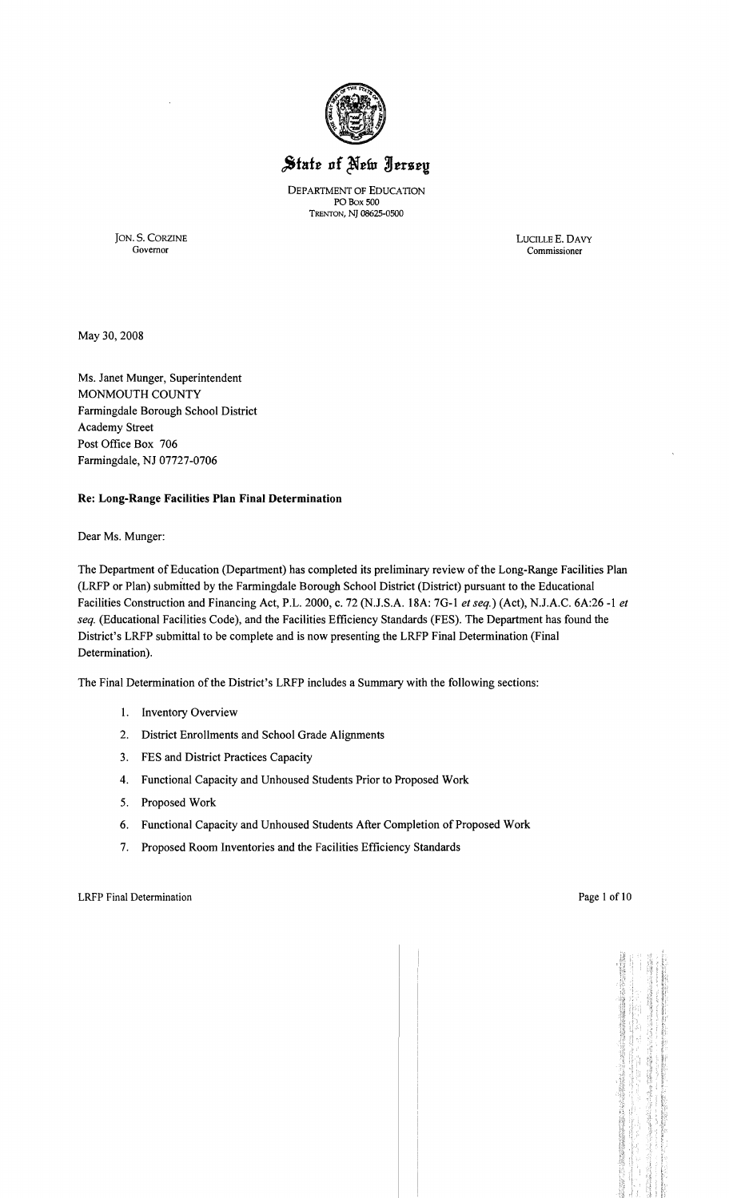

# State of New Jersey

DEPARTMENT OF EDUCATION POBox 500 TRENTON, N] 08625-0500

JON. S. CORZINE LUCILLEE. DAVY Commissioner

May 30,2008

Ms. Janet Munger, Superintendent MONMOUTH COUNTY Farmingdale Borough School District Academy Street Post Office Box 706 Farmingdale, NJ 07727-0706

# Re: Long-Range Facilities Plan Final Determination

Dear Ms. Munger:

The Department of Education (Department) has completed its preliminary review ofthe Long-Range Facilities Plan (LRFP or Plan) submitted by the Farmingdale Borough School District (District) pursuant to the Educational Facilities Construction and Financing Act, P.L. 2000, c. 72 (N.J.S.A. 18A: 7G-l *et seq.)* (Act), N.J.A.C. 6A:26 -1 *et seq.* (Educational Facilities Code), and the Facilities Efficiency Standards (FES). The Department has found the District's LRFP submittal to be complete and is now presenting the LRFP Final Determination (Final Determination).

The Final Determination of the District's LRFP includes a Summary with the following sections:

- 1. Inventory Overview
- 2. District Enrollments and School Grade Alignments
- 3. FES and District Practices Capacity
- 4. Functional Capacity and Unhoused Students Prior to Proposed Work
- 5. Proposed Work
- 6. Functional Capacity and Unhoused Students After Completion of Proposed Work
- 7. Proposed Room Inventories and the Facilities Efficiency Standards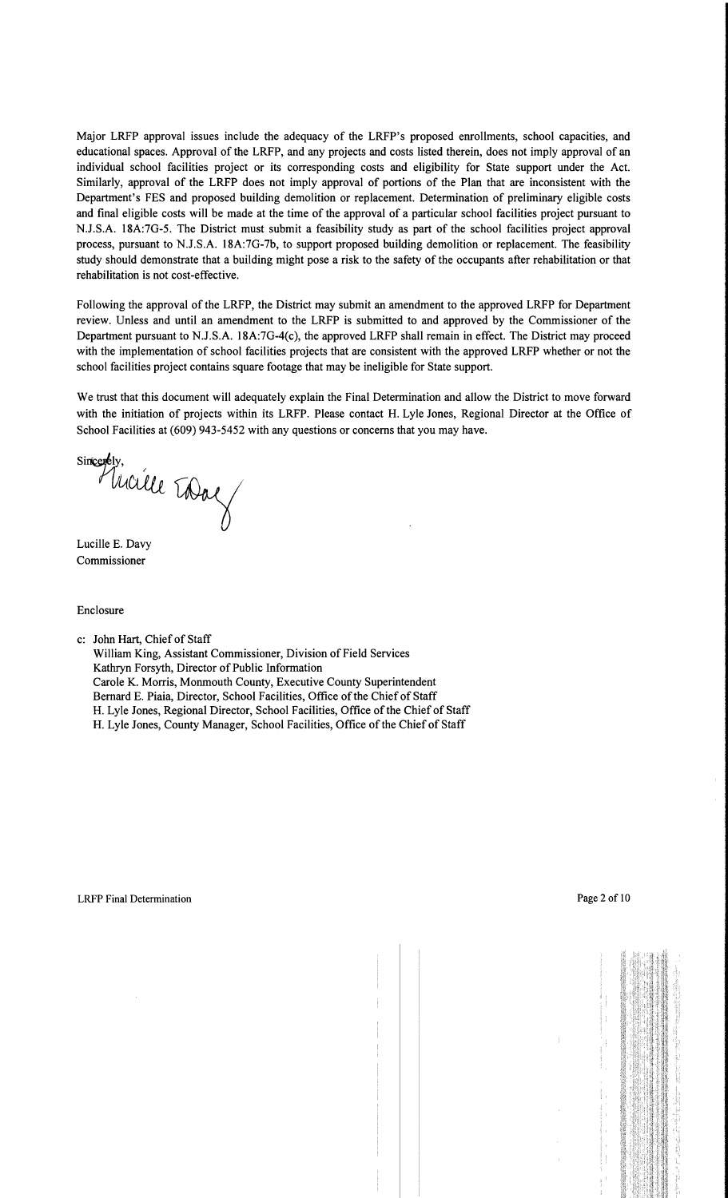Major LRFP approval issues include the adequacy of the LRFP's proposed enrollments, school capacities, and educational spaces. Approval of the LRFP, and any projects and costs listed therein, does not imply approval of an individual school facilities project or its corresponding costs and eligibility for State support under the Act. Similarly, approval of the LRFP does not imply approval of portions of the Plan that are inconsistent with the Department's FES and proposed building demolition or replacement. Determination of preliminary eligible costs and final eligible costs will be made at the time of the approval of a particular school facilities project pursuant to NJ.S.A. 18A:7G-5. The District must submit a feasibility study as part of the school facilities project approval process, pursuant to N.J.S.A. 18A:7G-7b, to support proposed building demolition or replacement. The feasibility study should demonstrate that a building might pose a risk to the safety of the occupants after rehabilitation or that rehabilitation is not cost-effective.

Following the approval of the LRFP, the District may submit an amendment to the approved LRFP for Department review. Unless and until an amendment to the LRFP is submitted to and approved by the Commissioner of the Department pursuant to NJ.S.A. 18A:7G-4(c), the approved LRFP shall remain in effect. The District may proceed with the implementation of school facilities projects that are consistent with the approved LRFP whether or not the school facilities project contains square footage that may be ineligible for State support.

We trust that this document will adequately explain the Final Determination and allow the District to move forward with the initiation of projects within its LRFP. Please contact H. Lyle Jones, Regional Director at the Office of School Facilities at (609) 943-5452 with any questions or concerns that you may have.

Sincerely, reately.<br>Mucille Today

Lucille E. Davy Commissioner

Enclosure

c: John Hart, Chief of Staff

William King, Assistant Commissioner, Division of Field Services Kathryn Forsyth, Director of Public Information Carole K. Morris, Monmouth County, Executive County Superintendent Bernard E. Piaia, Director, School Facilities, Office of the Chief of Staff H. Lyle Jones, Regional Director, School Facilities, Office of the Chief of Staff H. Lyle Jones, County Manager, School Facilities, Office of the Chief of Staff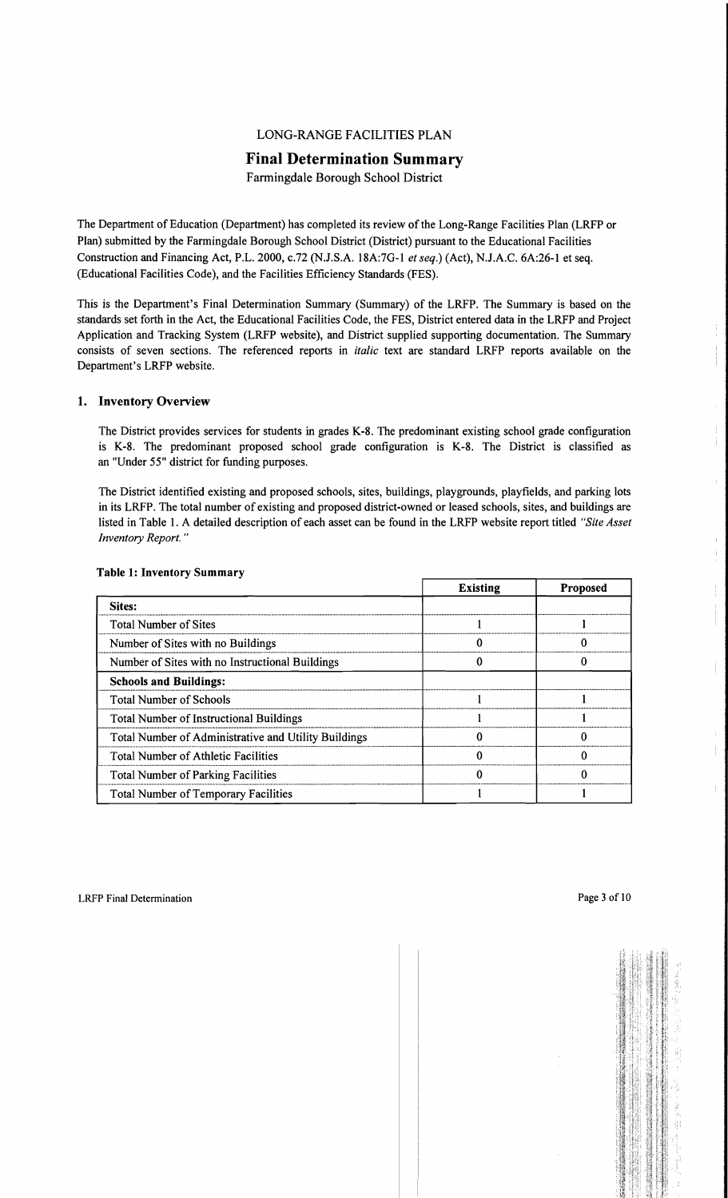# LONG-RANGE FACILITIES PLAN

# **Final Determination Summary**

Farmingdale Borough School District

The Department of Education (Department) has completed its review of the Long-Range Facilities Plan (LRFP or Plan) submitted by the Farmingdale Borough School District (District) pursuant to the Educational Facilities Construction and Financing Act, P.L. 2000, c.72 (NJ.S.A. 18A:7G-l *et seq.)* (Act), N.J.A.C. 6A:26-1 et seq. (Educational Facilities Code), and the Facilities Efficiency Standards (FES).

This is the Department's Final Determination Summary (Summary) of the LRFP. The Summary is based on the standards set forth in the Act, the Educational Facilities Code, the FES, District entered data in the LRFP and Project Application and Tracking System (LRFP website), and District supplied supporting documentation. The Summary consists of seven sections. The referenced reports in *italic* text are standard LRFP reports available on the Department's LRFP website.

#### 1. Inventory Overview

The District provides services for students in grades K-8. The predominant existing school grade configuration is K-8. The predominant proposed school grade configuration is K-8. The District is classified as an "Under 55" district for funding purposes.

The District identified existing and proposed schools, sites, buildings, playgrounds, playfields, and parking lots in its LRFP. The total number of existing and proposed district-owned or leased schools, sites, and buildings are listed in Table 1. A detailed description of each asset can be found in the LRFP website report titled *"Site Asset Inventory Report. "* 

|                                                      | <b>Existing</b> | <b>Proposed</b> |
|------------------------------------------------------|-----------------|-----------------|
| Sites:                                               |                 |                 |
| <b>Total Number of Sites</b>                         |                 |                 |
| Number of Sites with no Buildings                    |                 |                 |
| Number of Sites with no Instructional Buildings      |                 |                 |
| <b>Schools and Buildings:</b>                        |                 |                 |
| <b>Total Number of Schools</b>                       |                 |                 |
| <b>Total Number of Instructional Buildings</b>       |                 |                 |
| Total Number of Administrative and Utility Buildings |                 |                 |
| <b>Total Number of Athletic Facilities</b>           |                 | ∩               |
| <b>Total Number of Parking Facilities</b>            |                 |                 |
| <b>Total Number of Temporary Facilities</b>          |                 |                 |

# Table 1: Inventory Summary

ţ. Ť.

 $\hat{\Gamma}$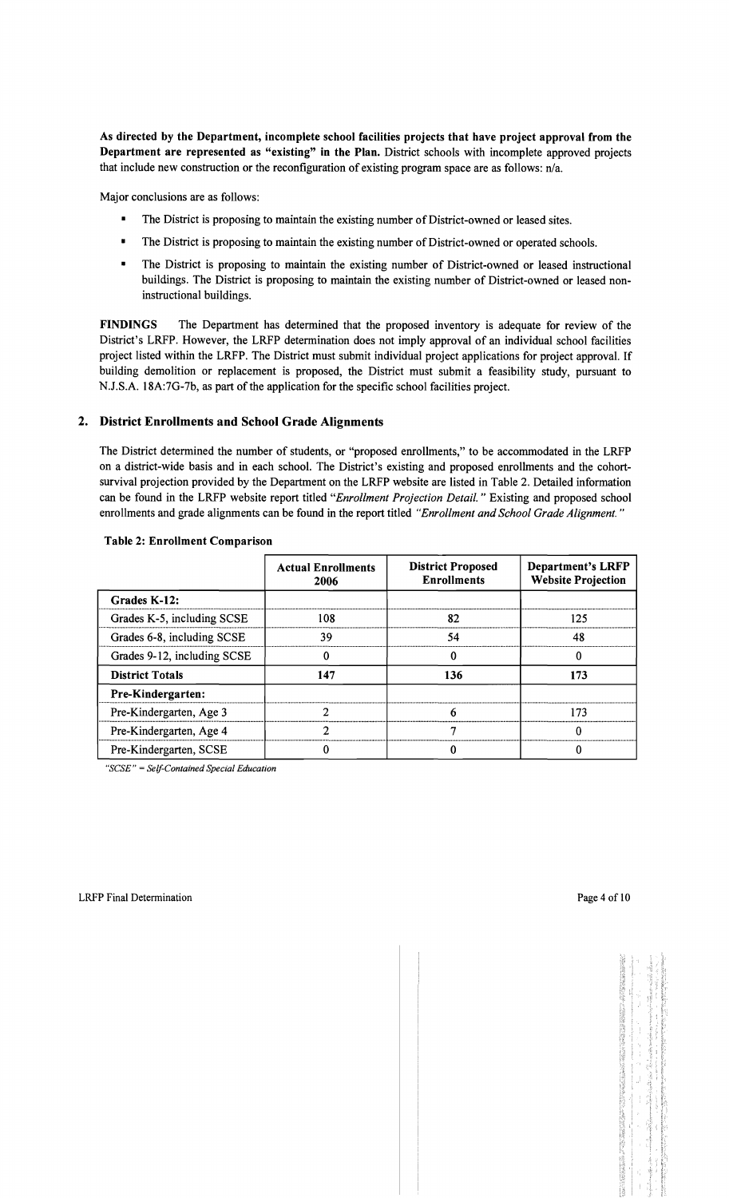As directed by the Department, incomplete school facilities projects that have project approval from the Department are represented as "existing" in the Plan. District schools with incomplete approved projects that include new construction or the reconfiguration of existing program space are as follows: n/a.

Major conclusions are as follows:

- The District is proposing to maintain the existing number of District-owned or leased sites.
- **•** The District is proposing to maintain the existing number of District-owned or operated schools.
- The District is proposing to maintain the existing number of District-owned or leased instructional buildings. The District is proposing to maintain the existing number of District-owned or leased noninstructional buildings.

FINDINGS The Department has determined that the proposed inventory is adequate for review of the District's LRFP. However, the LRFP determination does not imply approval of an individual school facilities project listed within the LRFP. The District must submit individual project applications for project approval. If building demolition or replacement is proposed, the District must submit a feasibility study, pursuant to NJ.S.A. 18A:7G-7b, as part of the application for the specific school facilities project.

# 2. District Enrollments and School Grade Alignments

The District determined the number of students, or "proposed enrollments," to be accommodated in the LRFP on a district-wide basis and in each school. The District's existing and proposed enrollments and the cohortsurvival projection provided by the Department on the LRFP website are listed in Table 2. Detailed information can be found in the LRFP website report titled *"Enrollment Projection Detail.* " Existing and proposed school enrollments and grade alignments can be found in the report titled *"Enrollment and School Grade Alignment. "* 

|                             | <b>Actual Enrollments</b><br>2006 | <b>District Proposed</b><br><b>Enrollments</b> | <b>Department's LRFP</b><br><b>Website Projection</b> |
|-----------------------------|-----------------------------------|------------------------------------------------|-------------------------------------------------------|
| Grades K-12:                |                                   |                                                |                                                       |
| Grades K-5, including SCSE  | 108                               | 82                                             | 125                                                   |
| Grades 6-8, including SCSE  | 39                                | 54                                             | 48                                                    |
| Grades 9-12, including SCSE |                                   |                                                | Ω                                                     |
| <b>District Totals</b>      | 147                               | 136                                            | 173                                                   |
| <b>Pre-Kindergarten:</b>    |                                   |                                                |                                                       |
| Pre-Kindergarten, Age 3     | ኅ                                 | 6                                              | 173                                                   |
| Pre-Kindergarten, Age 4     | ጎ                                 |                                                | Ω                                                     |
| Pre-Kindergarten, SCSE      |                                   |                                                |                                                       |

#### Table 2: Enrollment Comparison

*"SCSE"* = *Self-Contained Special Education*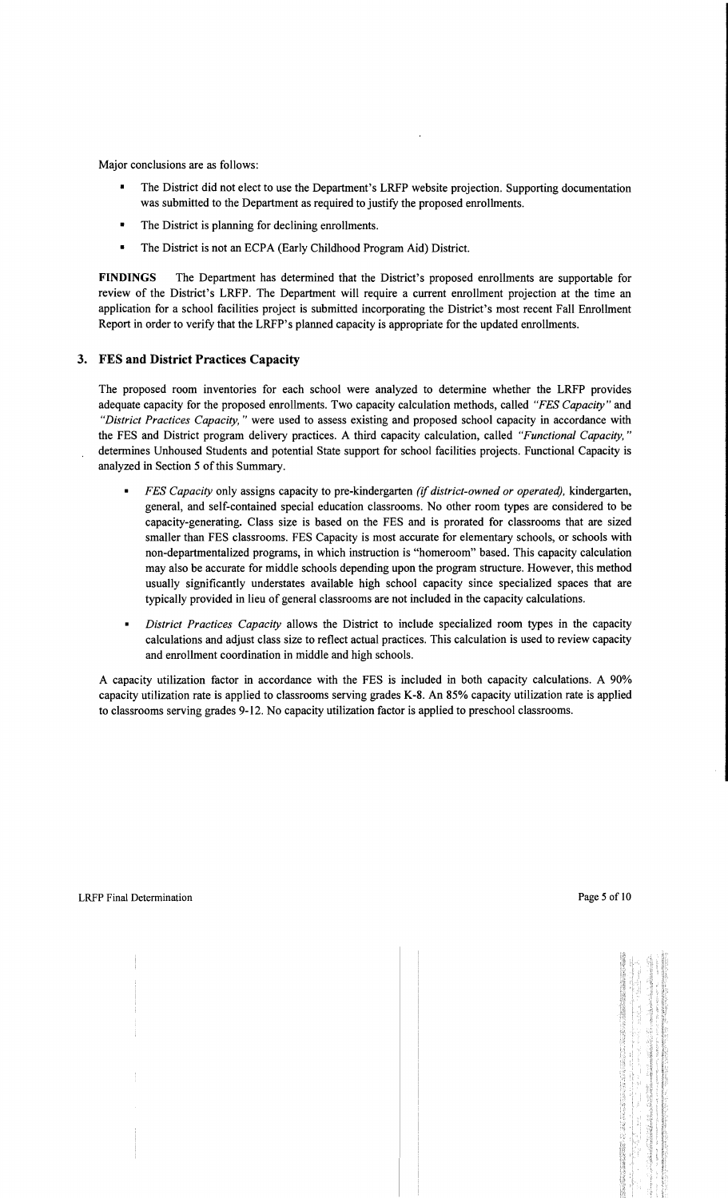Major conclusions are as follows:

- The District did not elect to use the Department's LRFP website projection. Supporting documentation was submitted to the Department as required to justify the proposed enrollments.
- The District is planning for declining enrollments.
- The District is not an ECPA (Early Childhood Program Aid) District.

**FINDINGS** The Department has determined that the District's proposed enrollments are supportable for review of the District's LRFP. The Department will require a current enrollment projection at the time an application for a school facilities project is submitted incorporating the District's most recent Fall Enrollment Report in order to verify that the LRFP's planned capacity is appropriate for the updated enrollments.

# **3. FES and District Practices Capacity**

The proposed room inventories for each school were analyzed to determine whether the LRFP provides adequate capacity for the proposed enrollments. Two capacity calculation methods, called *"FES Capacity"* and *"District Practices Capacity,* " were used to assess existing and proposed school capacity in accordance with the FES and District program delivery practices. A third capacity calculation, called *"Functional Capacity, "*  determines Unhoused Students and potential State support for school facilities projects. Functional Capacity is analyzed in Section 5 of this Summary.

- *FES Capacity only assigns capacity to pre-kindergarten <i>(if district-owned or operated), kindergarten,* general, and self-contained special education classrooms. No other room types are considered to be capacity-generating. Class size is based on the FES and is prorated for classrooms that are sized smaller than FES classrooms. FES Capacity is most accurate for elementary schools, or schools with non-departmentalized programs, in which instruction is "homeroom" based. This capacity calculation may also be accurate for middle schools depending upon the program structure. However, this method usually significantly understates available high school capacity since specialized spaces that are typically provided in lieu of general classrooms are not included in the capacity calculations.
- $\blacksquare$ *District Practices Capacity* allows the District to include specialized room types in the capacity calculations and adjust class size to reflect actual practices. This calculation is used to review capacity and enrollment coordination in middle and high schools.

A capacity utilization factor in accordance with the FES is included in both capacity calculations. A 90% capacity utilization rate is applied to classrooms serving grades K-8. An 85% capacity utilization rate is applied to classrooms serving grades 9-12. No capacity utilization factor is applied to preschool classrooms.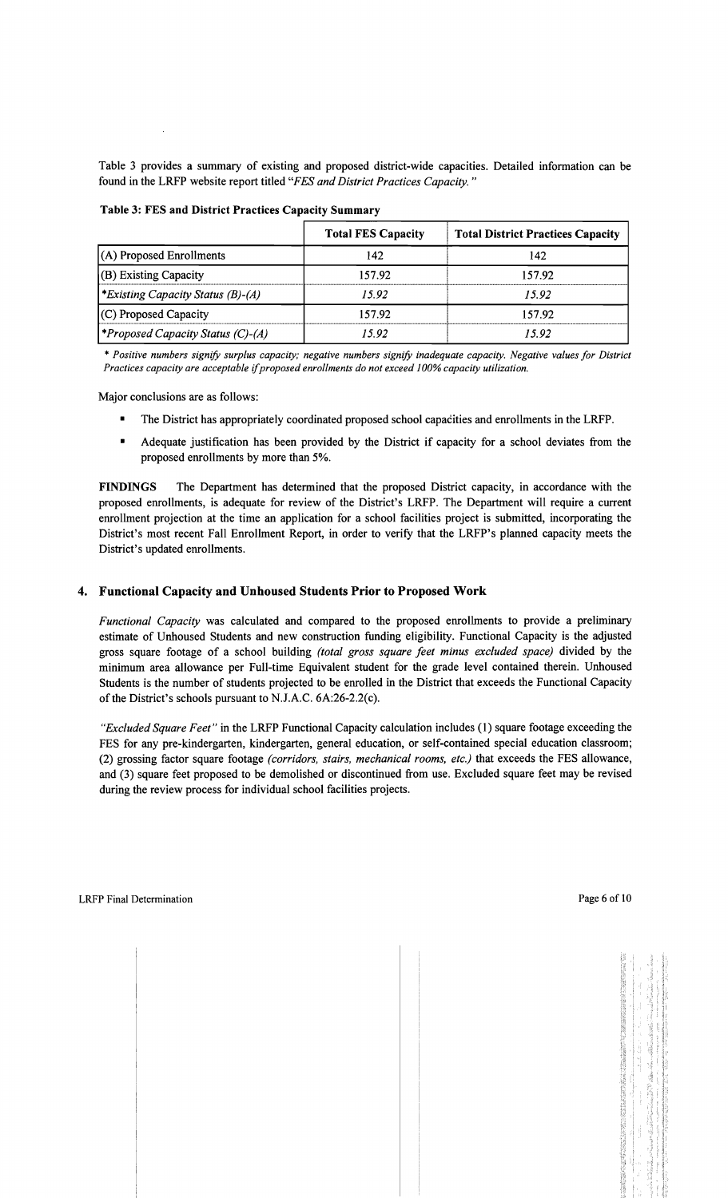Table 3 provides a summary of existing and proposed district-wide capacities. Detailed information can be found in the LRFP website report titled *"FES and District Practices Capacity. "* 

|                                                 | <b>Total FES Capacity</b> | <b>Total District Practices Capacity</b> |
|-------------------------------------------------|---------------------------|------------------------------------------|
| (A) Proposed Enrollments                        | 142                       | 142                                      |
| (B) Existing Capacity                           | 157.92                    | 157.92                                   |
| <i>Existing Capacity Status (B)-(A)</i>         | 15.92                     | 15.92                                    |
| (C) Proposed Capacity                           | 157.92                    | 157.92                                   |
| <i><b>*Proposed Capacity Status (C)-(A)</b></i> | 15.92                     | 15.92                                    |

Table 3: FES and District Practices Capacity Summary

\* *Positive numbers signify surplus capacity; negative numbers signify inadequate capacity. Negative values for District Practices capacity are acceptable* if*proposed enrollments do not exceed* J*00% capacity utilization.* 

Major conclusions are as follows:

- The District has appropriately coordinated proposed school capacities and enrollments in the LRFP.
- Adequate justification has been provided by the District if capacity for a school deviates from the proposed enrollments by more than 5%.

FINDINGS The Department has determined that the proposed District capacity, in accordance with the proposed enrollments, is adequate for review of the District's LRFP. The Department will require a current enrollment projection at the time an application for a school facilities project is submitted, incorporating the District's most recent Fall Enrollment Report, in order to verify that the LRFP's planned capacity meets the District's updated enrollments.

#### 4. Functional Capacity and Unhoused Students Prior to Proposed Work

*Functional Capacity* was calculated and compared to the proposed enrollments to provide a preliminary estimate of Unhoused Students and new construction funding eligibility. Functional Capacity is the adjusted gross square footage of a school building *(total gross square feet minus excluded space)* divided by the minimum area allowance per Full-time Equivalent student for the grade level contained therein. Unhoused Students is the number of students projected to be enrolled in the District that exceeds the Functional Capacity of the District's schools pursuant to N.J.A.C. 6A:26-2.2(c).

*"Excluded Square Feet"* in the LRFP Functional Capacity calculation includes (1) square footage exceeding the FES for any pre-kindergarten, kindergarten, general education, or self-contained special education classroom; (2) grossing factor square footage *(corridors, stairs, mechanical rooms, etc.)* that exceeds the FES allowance, and (3) square feet proposed to be demolished or discontinued from use. Excluded square feet may be revised during the review process for individual school facilities projects.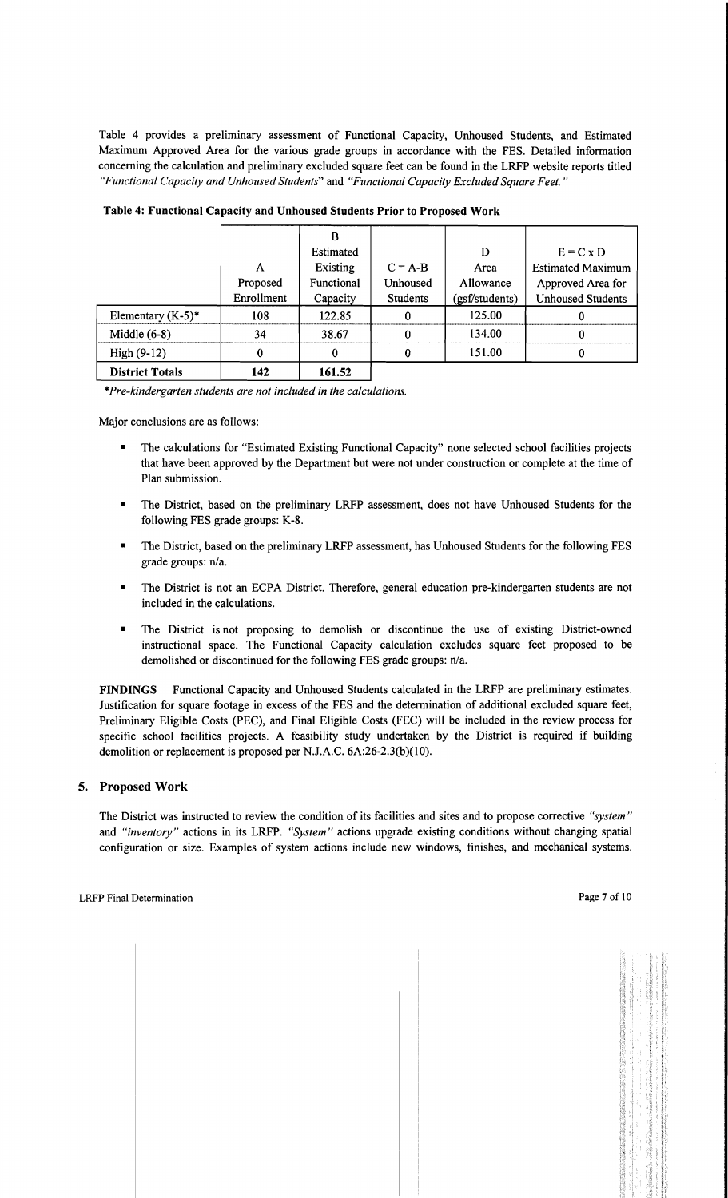Table 4 provides a preliminary assessment of Functional Capacity, Unhoused Students, and Estimated Maximum Approved Area for the various grade groups in accordance with the FES. Detailed information concerning the calculation and preliminary excluded square feet can be found in the LRFP website reports titled *"Functional Capacity and Unhoused Students"* and *"Functional Capacity Excluded Square Feet."* 

|                        |            | B          |                 |                |                          |
|------------------------|------------|------------|-----------------|----------------|--------------------------|
|                        |            | Estimated  |                 | D              | $E = C x D$              |
|                        | A          | Existing   | $C = A-B$       | Area           | <b>Estimated Maximum</b> |
|                        | Proposed   | Functional | Unhoused        | Allowance      | Approved Area for        |
|                        | Enrollment | Capacity   | <b>Students</b> | (gsf/students) | <b>Unhoused Students</b> |
| Elementary $(K-5)^*$   | 108        | 122.85     | 0               | 125.00         |                          |
| Middle $(6-8)$         | 34         | 38.67      | $\bf{0}$        | 134.00         | 0                        |
| High $(9-12)$          | 0          | 0          | 0               | 151.00         |                          |
| <b>District Totals</b> | 142        | 161.52     |                 |                |                          |

Table 4: Functional Capacity and Unhoused Students Prior to Proposed Work

\**Pre-kindergarten students are not included in the calculations.* 

Major conclusions are as follows:

- The calculations for "Estimated Existing Functional Capacity" none selected school facilities projects that have been approved by the Department but were not under construction or complete at the time of Plan submission.
- The District, based on the preliminary LRFP assessment, does not have Unhoused Students for the following FES grade groups: K-8.
- The District, based on the preliminary LRFP assessment, has Unhoused Students for the following FES grade groups:  $n/a$ .
- The District is not an ECPA District. Therefore, general education pre-kindergarten students are not included in the calculations.
- The District is not proposing to demolish or discontinue the use of existing District-owned instructional space. The Functional Capacity calculation excludes square feet proposed to be demolished or discontinued for the following FES grade groups:  $n/a$ .

FINDINGS Functional Capacity and Unhoused Students calculated in the LRFP are preliminary estimates. Justification for square footage in excess of the FES and the determination of additional excluded square feet, Preliminary Eligible Costs (PEC), and Final Eligible Costs (FEC) will be included in the review process for specific school facilities projects. A feasibility study undertaken by the District is required if building demolition or replacement is proposed per N.J.A.C. 6A:26-2.3(b)(10).

#### 5. Proposed Work

The District was instructed to review the condition of its facilities and sites and to propose corrective *"system"*  and *"inventory"* actions in its LRFP. *"System"* actions upgrade existing conditions without changing spatial configuration or size. Examples of system actions include new windows, finishes, and mechanical systems.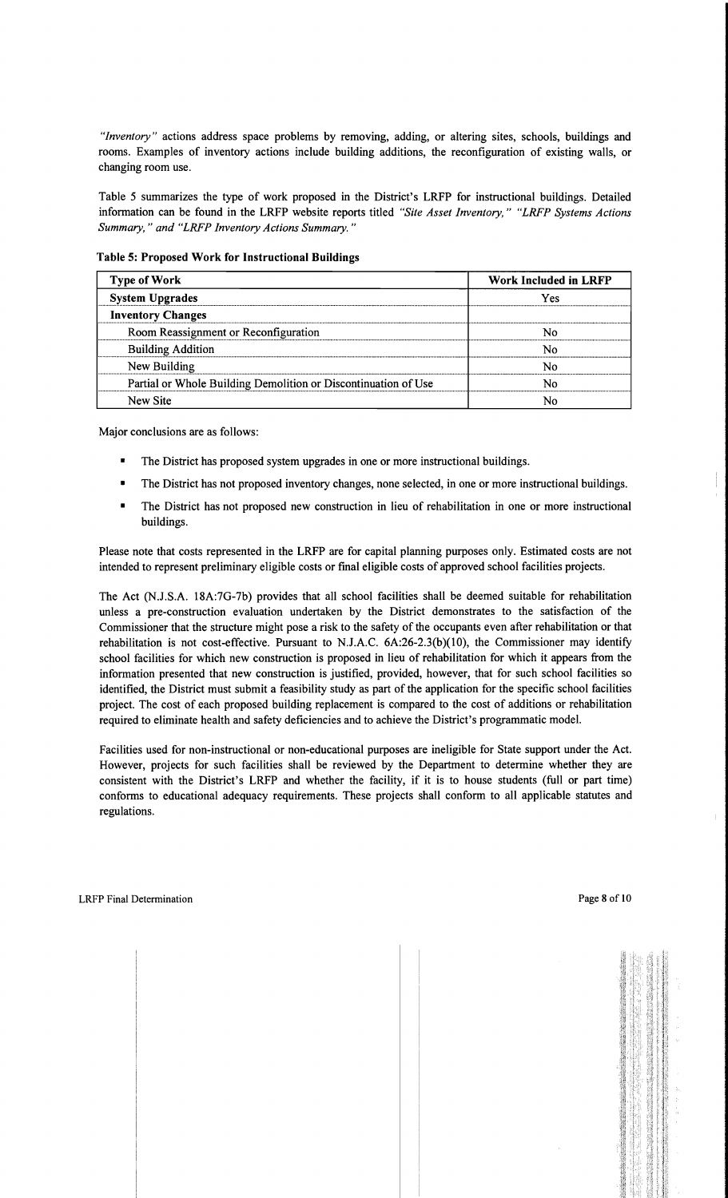*"Inventory"* actions address space problems by removing, adding, or altering sites, schools, buildings and rooms. Examples of inventory actions include building additions, the reconfiguration of existing walls, or changing room use.

Table 5 summarizes the type of work proposed in the District's LRFP for instructional buildings. Detailed information can be found in the LRFP website reports titled *"Site Asset Inventory," "LRFP Systems Actions Summary,* " *and "LRFP Inventory Actions Summary. "* 

Table 5: Proposed Work for Instructional Buildings

| <b>Type of Work</b>                                            | <b>Work Included in LRFP</b> |  |
|----------------------------------------------------------------|------------------------------|--|
| <b>System Upgrades</b>                                         | Yes                          |  |
| <b>Inventory Changes</b>                                       |                              |  |
| Room Reassignment or Reconfiguration                           | N٥                           |  |
| <b>Building Addition</b>                                       | Ν٥                           |  |
| New Building                                                   | N٥                           |  |
| Partial or Whole Building Demolition or Discontinuation of Use | N٥                           |  |
| New Site                                                       | N٥                           |  |

Major conclusions are as follows:

- The District has proposed system upgrades in one or more instructional buildings.
- The District has not proposed inventory changes, none selected, in one or more instructional buildings.
- The District has not proposed new construction in lieu of rehabilitation in one or more instructional buildings.

Please note that costs represented in the LRFP are for capital planning purposes only. Estimated costs are not intended to represent preliminary eligible costs or final eligible costs of approved school facilities projects.

The Act (NJ.S.A. 18A:7G-7b) provides that all school facilities shall be deemed suitable for rehabilitation unless a pre-construction evaluation undertaken by the District demonstrates to the satisfaction of the Commissioner that the structure might pose a risk to the safety of the occupants even after rehabilitation or that rehabilitation is not cost-effective. Pursuant to NJ.A.C. 6A:26-2.3(b)(10), the Commissioner may identify school facilities for which new construction is proposed in lieu of rehabilitation for which it appears from the information presented that new construction is justified, provided, however, that for such school facilities so identified, the District must submit a feasibility study as part of the application for the specific school facilities project. The cost of each proposed building replacement is compared to the cost of additions or rehabilitation required to eliminate health and safety deficiencies and to achieve the District's programmatic model.

Facilities used for non-instructional or non-educational purposes are ineligible for State support under the Act. However, projects for such facilities shall be reviewed by the Department to determine whether they are consistent with the District's LRFP and whether the facility, if it is to house students (full or part time) conforms to educational adequacy requirements. These projects shall conform to all applicable statutes and regulations.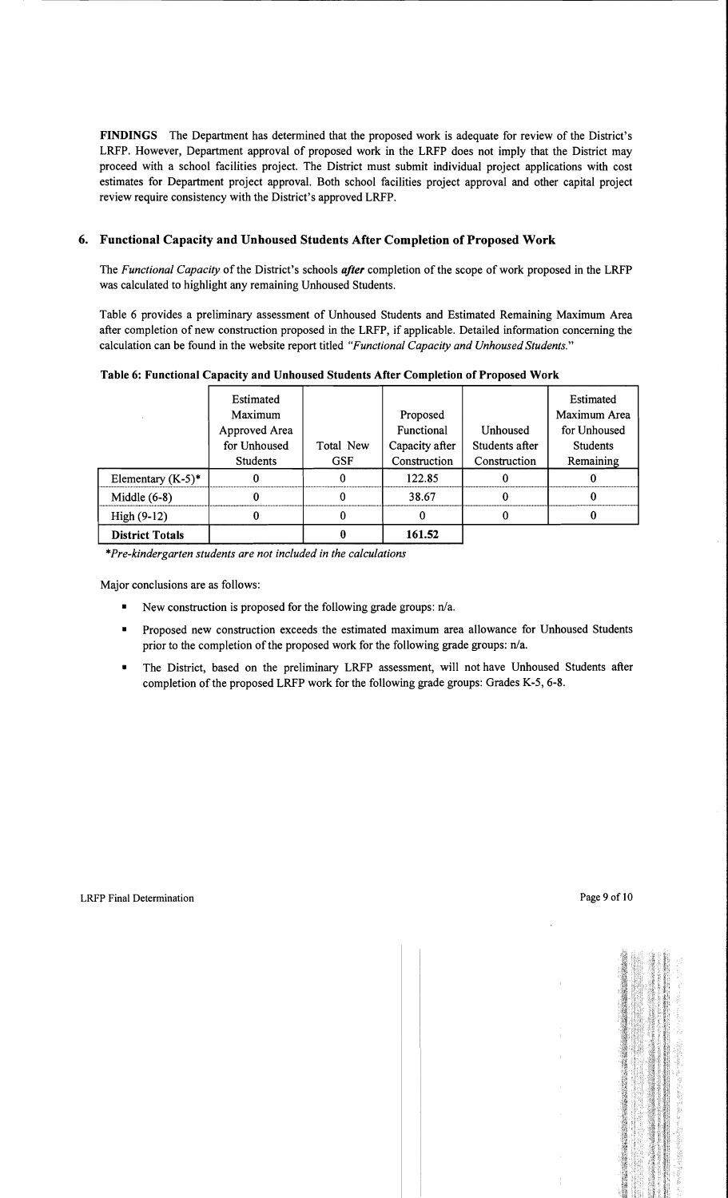FINDINGS The Department has determined that the proposed work is adequate for review of the District's LRFP. However, Department approval of proposed work in the LRFP does not imply that the District may proceed with a school facilities project. The District must submit individual project applications with cost estimates for Department project approval. Both school facilities project approval and other capital project review require consistency with the District's approved LRFP.

# 6. Functional Capacity and Unhoused Students After Completion of Proposed Work

The *Functional Capacity* of the District's schools *after* completion of the scope of work proposed in the LRFP was calculated to highlight any remaining Unhoused Students.

Table 6 provides a preliminary assessment of Unhoused Students and Estimated Remaining Maximum Area after completion of new construction proposed in the LRFP, if applicable. Detailed information concerning the calculation can be found in the website report titled *"Functional Capacity and Unhoused Students."* 

|                        | Estimated<br>Maximum<br>Approved Area |                         | Proposed<br>Functional         | Unhoused                       | Estimated<br>Maximum Area<br>for Unhoused |
|------------------------|---------------------------------------|-------------------------|--------------------------------|--------------------------------|-------------------------------------------|
|                        | for Unhoused<br><b>Students</b>       | Total New<br><b>GSF</b> | Capacity after<br>Construction | Students after<br>Construction | <b>Students</b><br>Remaining              |
| Elementary $(K-5)^*$   |                                       |                         | 122.85                         |                                |                                           |
| Middle $(6-8)$         |                                       |                         | 38.67                          |                                |                                           |
| High $(9-12)$          |                                       |                         | 0                              |                                |                                           |
| <b>District Totals</b> |                                       |                         | 161.52                         |                                |                                           |

Table 6: Functional Capacity and Unhoused Students After Completion of Proposed Work

*\*Pre-kindergarten students are not included in the calculations* 

Major conclusions are as follows:

- New construction is proposed for the following grade groups:  $n/a$ .
- Proposed new construction exceeds the estimated maximum area allowance for Unhoused Students prior to the completion of the proposed work for the following grade groups:  $n/a$ .
- The District, based on the preliminary LRFP assessment, will not have Unhoused Students after completion of the proposed LRFP work for the following grade groups: Grades K-5, 6-8.